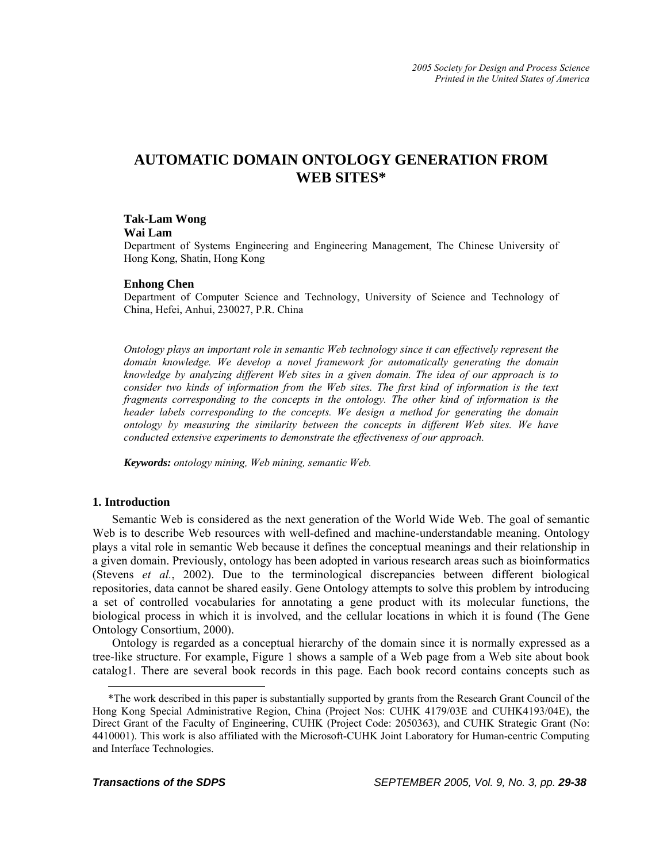# **AUTOMATIC DOMAIN ONTOLOGY GENERATION FROM WEB SITES\***

# **Tak-Lam Wong**

#### **Wai Lam**

Department of Systems Engineering and Engineering Management, The Chinese University of Hong Kong, Shatin, Hong Kong

### **Enhong Chen**

Department of Computer Science and Technology, University of Science and Technology of China, Hefei, Anhui, 230027, P.R. China

*Ontology plays an important role in semantic Web technology since it can effectively represent the domain knowledge. We develop a novel framework for automatically generating the domain knowledge by analyzing different Web sites in a given domain. The idea of our approach is to consider two kinds of information from the Web sites. The first kind of information is the text fragments corresponding to the concepts in the ontology. The other kind of information is the header labels corresponding to the concepts. We design a method for generating the domain ontology by measuring the similarity between the concepts in different Web sites. We have conducted extensive experiments to demonstrate the effectiveness of our approach.* 

*Keywords: ontology mining, Web mining, semantic Web.* 

# **1. Introduction**

<span id="page-0-0"></span>1

Semantic Web is considered as the next generation of the World Wide Web. The goal of semantic Web is to describe Web resources with well-defined and machine-understandable meaning. Ontology plays a vital role in semantic Web because it defines the conceptual meanings and their relationship in a given domain. Previously, ontology has been adopted in various research areas such as bioinformatics (Stevens *et al.*, 2002). Due to the terminological discrepancies between different biological repositories, data cannot be shared easily. Gene Ontology attempts to solve this problem by introducing a set of controlled vocabularies for annotating a gene product with its molecular functions, the biological process in which it is involved, and the cellular locations in which it is found (The Gene Ontology Consortium, 2000)[.](#page-0-0) 

Ontology is regarded as a conceptual hierarchy of the domain since it is normally expressed as a tree-like structure. For example, Figure 1 shows a sample of a Web page from a Web site about book catalog1. There are several book records in this page. Each book record contains concepts such as

<sup>\*</sup>The work described in this paper is substantially supported by grants from the Research Grant Council of the Hong Kong Special Administrative Region, China (Project Nos: CUHK 4179/03E and CUHK4193/04E), the Direct Grant of the Faculty of Engineering, CUHK (Project Code: 2050363), and CUHK Strategic Grant (No: 4410001). This work is also affiliated with the Microsoft-CUHK Joint Laboratory for Human-centric Computing and Interface Technologies.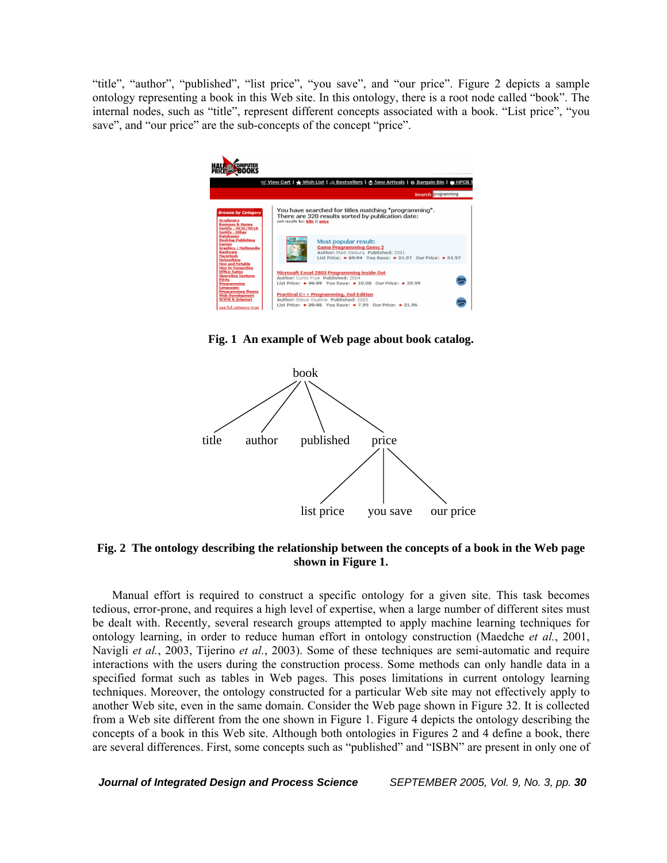"title", "author", "published", "list price", "you save", and "our price". Figure 2 depicts a sample ontology representing a book in this Web site. In this ontology, there is a root node called "book". The internal nodes, such as "title", represent different concepts associated with a book. "List price", "you save", and "our price" are the sub-concepts of the concept "price".



**Fig. 1 An example of Web page about book catalog.** 



# **Fig. 2 The ontology describing the relationship between the concepts of a book in the Web page shown in Figure 1.**

Manual effort is required to construct a specific ontology for a given site. This task becomes tedious, error-prone, and requires a high level of expertise, when a large number of different sites must be dealt with. Recently, several research groups attempted to apply machine learning techniques for ontology learning, in order to reduce human effort in ontology construction (Maedche *et al.*, 2001, Navigli *et al.*, 2003, Tijerino *et al.*, 2003). Some of these techniques are semi-automatic and require interactions with the users during the construction process. Some methods can only handle data in a specified format such as tables in Web pages. This poses limitations in current ontology learning techniques. Moreover, the ontology constructed for a particular Web site may not effectively apply to another Web site, even in the same domain. Consider the Web page shown in Figure 32. It is collected from a Web site different from the one shown in Figure 1. Figure 4 depicts the ontology describing the concepts of a book in this Web site. Although both ontologies in Figures 2 and 4 define a book, there are several differences. First, some concepts such as "published" and "ISBN" are present in only one of

*Journal of Integrated Design and Process Science SEPTEMBER 2005, Vol. 9, No. 3, pp. 30*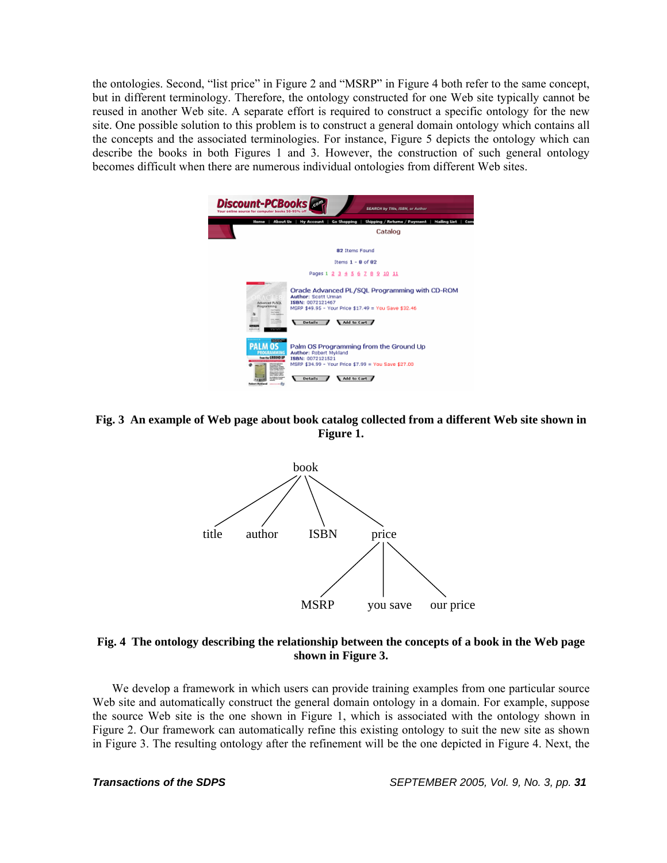the ontologies. Second, "list price" in Figure 2 and "MSRP" in Figure 4 both refer to the same concept, but in different terminology. Therefore, the ontology constructed for one Web site typically cannot be reused in another Web site. A separate effort is required to construct a specific ontology for the new site. One possible solution to this problem is to construct a general domain ontology which contains all the concepts and the associated terminologies. For instance, Figure 5 depicts the ontology which can describe the books in both Figures 1 and 3. However, the construction of such general ontology becomes difficult when there are numerous individual ontologies from different Web sites.



**Fig. 3 An example of Web page about book catalog collected from a different Web site shown in Figure 1.** 



# **Fig. 4 The ontology describing the relationship between the concepts of a book in the Web page shown in Figure 3.**

We develop a framework in which users can provide training examples from one particular source Web site and automatically construct the general domain ontology in a domain. For example, suppose the source Web site is the one shown in Figure 1, which is associated with the ontology shown in Figure 2. Our framework can automatically refine this existing ontology to suit the new site as shown in Figure 3. The resulting ontology after the refinement will be the one depicted in Figure 4. Next, the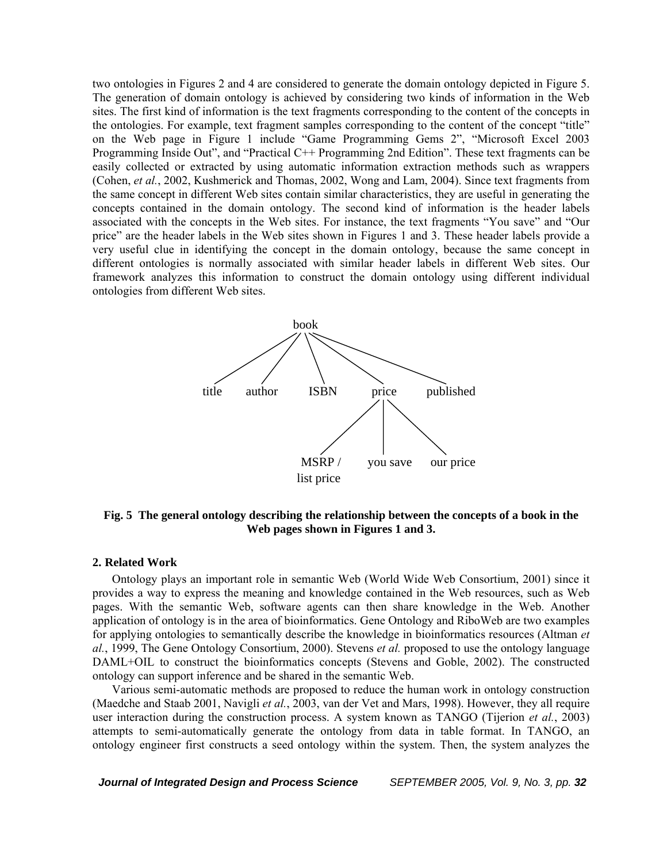two ontologies in Figures 2 and 4 are considered to generate the domain ontology depicted in Figure 5. The generation of domain ontology is achieved by considering two kinds of information in the Web sites. The first kind of information is the text fragments corresponding to the content of the concepts in the ontologies. For example, text fragment samples corresponding to the content of the concept "title" on the Web page in Figure 1 include "Game Programming Gems 2", "Microsoft Excel 2003 Programming Inside Out", and "Practical C++ Programming 2nd Edition". These text fragments can be easily collected or extracted by using automatic information extraction methods such as wrappers (Cohen, *et al.*, 2002, Kushmerick and Thomas, 2002, Wong and Lam, 2004). Since text fragments from the same concept in different Web sites contain similar characteristics, they are useful in generating the concepts contained in the domain ontology. The second kind of information is the header labels associated with the concepts in the Web sites. For instance, the text fragments "You save" and "Our price" are the header labels in the Web sites shown in Figures 1 and 3. These header labels provide a very useful clue in identifying the concept in the domain ontology, because the same concept in different ontologies is normally associated with similar header labels in different Web sites. Our framework analyzes this information to construct the domain ontology using different individual ontologies from different Web sites.



**Fig. 5 The general ontology describing the relationship between the concepts of a book in the Web pages shown in Figures 1 and 3.** 

#### **2. Related Work**

Ontology plays an important role in semantic Web (World Wide Web Consortium, 2001) since it provides a way to express the meaning and knowledge contained in the Web resources, such as Web pages. With the semantic Web, software agents can then share knowledge in the Web. Another application of ontology is in the area of bioinformatics. Gene Ontology and RiboWeb are two examples for applying ontologies to semantically describe the knowledge in bioinformatics resources (Altman *et al.*, 1999, The Gene Ontology Consortium, 2000). Stevens *et al.* proposed to use the ontology language DAML+OIL to construct the bioinformatics concepts (Stevens and Goble, 2002). The constructed ontology can support inference and be shared in the semantic Web.

Various semi-automatic methods are proposed to reduce the human work in ontology construction (Maedche and Staab 2001, Navigli *et al.*, 2003, van der Vet and Mars, 1998). However, they all require user interaction during the construction process. A system known as TANGO (Tijerion *et al.*, 2003) attempts to semi-automatically generate the ontology from data in table format. In TANGO, an ontology engineer first constructs a seed ontology within the system. Then, the system analyzes the

*Journal of Integrated Design and Process Science SEPTEMBER 2005, Vol. 9, No. 3, pp. 32*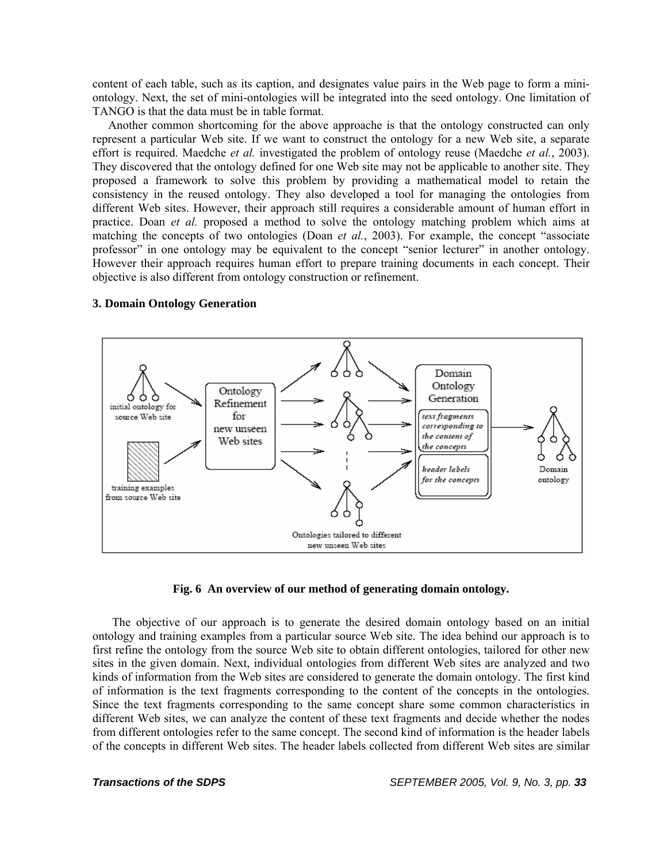content of each table, such as its caption, and designates value pairs in the Web page to form a miniontology. Next, the set of mini-ontologies will be integrated into the seed ontology. One limitation of TANGO is that the data must be in table format.

Another common shortcoming for the above approache is that the ontology constructed can only represent a particular Web site. If we want to construct the ontology for a new Web site, a separate effort is required. Maedche *et al.* investigated the problem of ontology reuse (Maedche *et al.*, 2003). They discovered that the ontology defined for one Web site may not be applicable to another site. They proposed a framework to solve this problem by providing a mathematical model to retain the consistency in the reused ontology. They also developed a tool for managing the ontologies from different Web sites. However, their approach still requires a considerable amount of human effort in practice. Doan *et al.* proposed a method to solve the ontology matching problem which aims at matching the concepts of two ontologies (Doan *et al.*, 2003). For example, the concept "associate professor" in one ontology may be equivalent to the concept "senior lecturer" in another ontology. However their approach requires human effort to prepare training documents in each concept. Their objective is also different from ontology construction or refinement.



### **3. Domain Ontology Generation**

#### **Fig. 6 An overview of our method of generating domain ontology.**

The objective of our approach is to generate the desired domain ontology based on an initial ontology and training examples from a particular source Web site. The idea behind our approach is to first refine the ontology from the source Web site to obtain different ontologies, tailored for other new sites in the given domain. Next, individual ontologies from different Web sites are analyzed and two kinds of information from the Web sites are considered to generate the domain ontology. The first kind of information is the text fragments corresponding to the content of the concepts in the ontologies. Since the text fragments corresponding to the same concept share some common characteristics in different Web sites, we can analyze the content of these text fragments and decide whether the nodes from different ontologies refer to the same concept. The second kind of information is the header labels of the concepts in different Web sites. The header labels collected from different Web sites are similar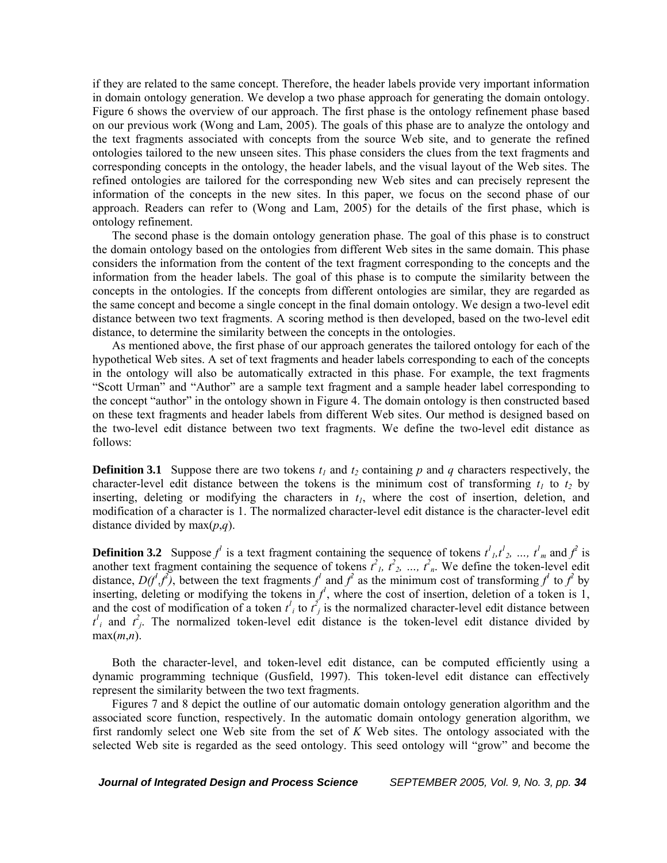if they are related to the same concept. Therefore, the header labels provide very important information in domain ontology generation. We develop a two phase approach for generating the domain ontology. Figure 6 shows the overview of our approach. The first phase is the ontology refinement phase based on our previous work (Wong and Lam, 2005). The goals of this phase are to analyze the ontology and the text fragments associated with concepts from the source Web site, and to generate the refined ontologies tailored to the new unseen sites. This phase considers the clues from the text fragments and corresponding concepts in the ontology, the header labels, and the visual layout of the Web sites. The refined ontologies are tailored for the corresponding new Web sites and can precisely represent the information of the concepts in the new sites. In this paper, we focus on the second phase of our approach. Readers can refer to (Wong and Lam, 2005) for the details of the first phase, which is ontology refinement.

The second phase is the domain ontology generation phase. The goal of this phase is to construct the domain ontology based on the ontologies from different Web sites in the same domain. This phase considers the information from the content of the text fragment corresponding to the concepts and the information from the header labels. The goal of this phase is to compute the similarity between the concepts in the ontologies. If the concepts from different ontologies are similar, they are regarded as the same concept and become a single concept in the final domain ontology. We design a two-level edit distance between two text fragments. A scoring method is then developed, based on the two-level edit distance, to determine the similarity between the concepts in the ontologies.

As mentioned above, the first phase of our approach generates the tailored ontology for each of the hypothetical Web sites. A set of text fragments and header labels corresponding to each of the concepts in the ontology will also be automatically extracted in this phase. For example, the text fragments "Scott Urman" and "Author" are a sample text fragment and a sample header label corresponding to the concept "author" in the ontology shown in Figure 4. The domain ontology is then constructed based on these text fragments and header labels from different Web sites. Our method is designed based on the two-level edit distance between two text fragments. We define the two-level edit distance as follows:

**Definition 3.1** Suppose there are two tokens  $t_1$  and  $t_2$  containing p and q characters respectively, the character-level edit distance between the tokens is the minimum cost of transforming  $t_1$  to  $t_2$  by inserting, deleting or modifying the characters in  $t<sub>l</sub>$ , where the cost of insertion, deletion, and modification of a character is 1. The normalized character-level edit distance is the character-level edit distance divided by max(*p*,*q*).

**Definition 3.2** Suppose  $f^l$  is a text fragment containing the sequence of tokens  $t^l{}_l, t^l{}_2, ..., t^l{}_m$  and  $f^2$  is another text fragment containing the sequence of tokens  $t^2$ ,  $t^2$ ,  $t^2$ , ...,  $t^2$ <sub>n</sub>. We define the token-level edit distance,  $D(f^1, f^2)$ , between the text fragments  $f^1$  and  $f^2$  as the minimum cost of transforming  $f^1$  to  $f^2$  by inserting, deleting or modifying the tokens in  $f^l$ , where the cost of insertion, deletion of a token is 1, and the cost of modification of a token  $t^l_i$  to  $t^2_j$  is the normalized character-level edit distance between  $t^i_i$  and  $t^2_j$ . The normalized token-level edit distance is the token-level edit distance divided by max(*m*,*n*).

Both the character-level, and token-level edit distance, can be computed efficiently using a dynamic programming technique (Gusfield, 1997). This token-level edit distance can effectively represent the similarity between the two text fragments.

Figures 7 and 8 depict the outline of our automatic domain ontology generation algorithm and the associated score function, respectively. In the automatic domain ontology generation algorithm, we first randomly select one Web site from the set of *K* Web sites. The ontology associated with the selected Web site is regarded as the seed ontology. This seed ontology will "grow" and become the

*Journal of Integrated Design and Process Science SEPTEMBER 2005, Vol. 9, No. 3, pp. 34*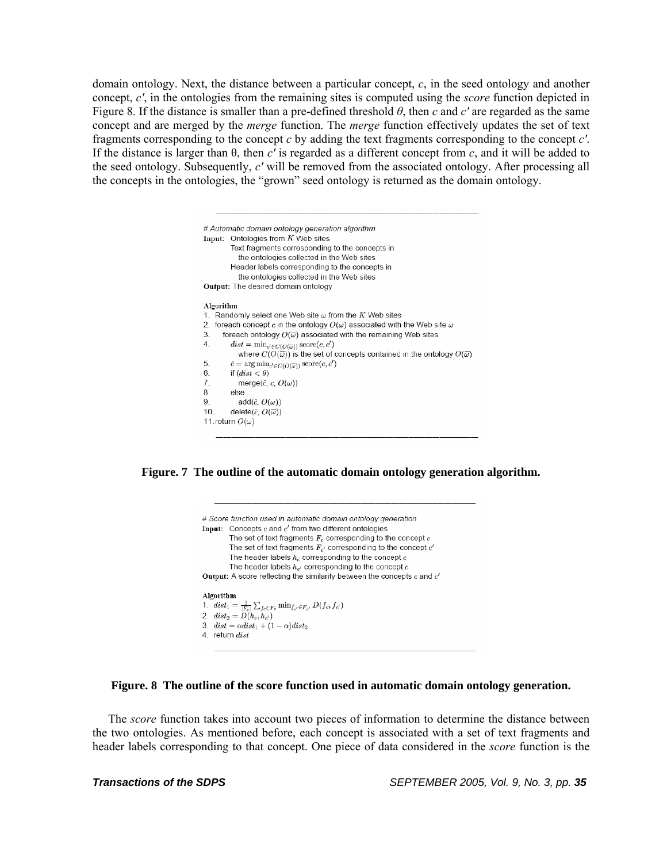domain ontology. Next, the distance between a particular concept, *c*, in the seed ontology and another concept, *c'*, in the ontologies from the remaining sites is computed using the *score* function depicted in Figure 8. If the distance is smaller than a pre-defined threshold *θ*, then *c* and *c'* are regarded as the same concept and are merged by the *merge* function. The *merge* function effectively updates the set of text fragments corresponding to the concept *c* by adding the text fragments corresponding to the concept *c'*. If the distance is larger than θ, then *c'* is regarded as a different concept from *c*, and it will be added to the seed ontology. Subsequently, *c'* will be removed from the associated ontology. After processing all the concepts in the ontologies, the "grown" seed ontology is returned as the domain ontology.



**Figure. 7 The outline of the automatic domain ontology generation algorithm.**



**Figure. 8 The outline of the score function used in automatic domain ontology generation.** 

The *score* function takes into account two pieces of information to determine the distance between the two ontologies. As mentioned before, each concept is associated with a set of text fragments and header labels corresponding to that concept. One piece of data considered in the *score* function is the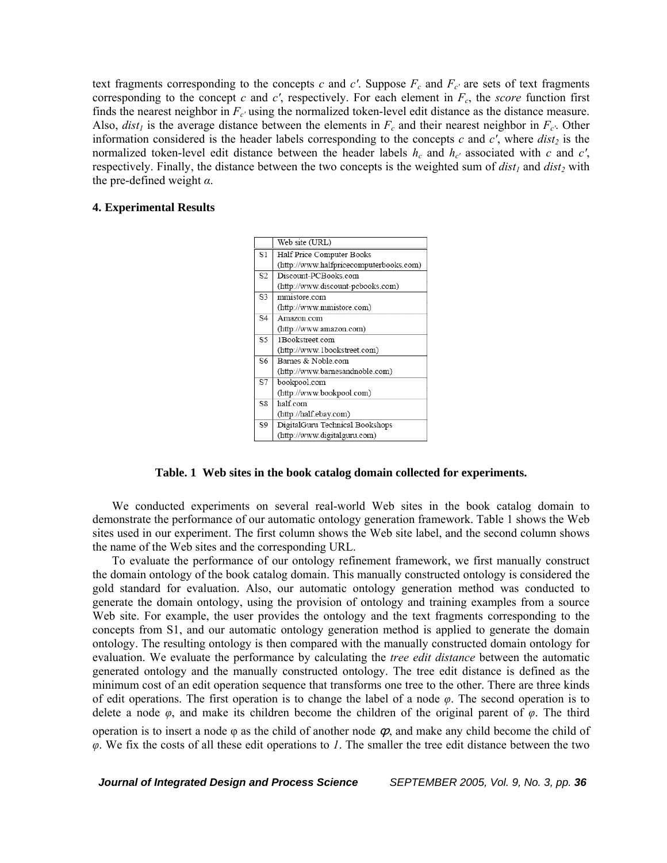text fragments corresponding to the concepts  $c$  and  $c'$ . Suppose  $F_c$  and  $F_{c'}$  are sets of text fragments corresponding to the concept  $c$  and  $c'$ , respectively. For each element in  $F_c$ , the *score* function first finds the nearest neighbor in  $F_c$  using the normalized token-level edit distance as the distance measure. Also,  $dist<sub>l</sub>$  is the average distance between the elements in  $F<sub>c</sub>$  and their nearest neighbor in  $F<sub>c'</sub>$ . Other information considered is the header labels corresponding to the concepts  $c$  and  $c'$ , where  $dist_2$  is the normalized token-level edit distance between the header labels  $h_c$  and  $h_c$  associated with  $c$  and  $c'$ , respectively. Finally, the distance between the two concepts is the weighted sum of  $dist_1$  and  $dist_2$  with the pre-defined weight *α*.

# **4. Experimental Results**



**Table. 1 Web sites in the book catalog domain collected for experiments.** 

We conducted experiments on several real-world Web sites in the book catalog domain to demonstrate the performance of our automatic ontology generation framework. Table 1 shows the Web sites used in our experiment. The first column shows the Web site label, and the second column shows the name of the Web sites and the corresponding URL.

To evaluate the performance of our ontology refinement framework, we first manually construct the domain ontology of the book catalog domain. This manually constructed ontology is considered the gold standard for evaluation. Also, our automatic ontology generation method was conducted to generate the domain ontology, using the provision of ontology and training examples from a source Web site. For example, the user provides the ontology and the text fragments corresponding to the concepts from S1, and our automatic ontology generation method is applied to generate the domain ontology. The resulting ontology is then compared with the manually constructed domain ontology for evaluation. We evaluate the performance by calculating the *tree edit distance* between the automatic generated ontology and the manually constructed ontology. The tree edit distance is defined as the minimum cost of an edit operation sequence that transforms one tree to the other. There are three kinds of edit operations. The first operation is to change the label of a node *φ*. The second operation is to delete a node *φ*, and make its children become the children of the original parent of *φ*. The third operation is to insert a node  $\varphi$  as the child of another node  $\varphi$ , and make any child become the child of *φ*. We fix the costs of all these edit operations to *1*. The smaller the tree edit distance between the two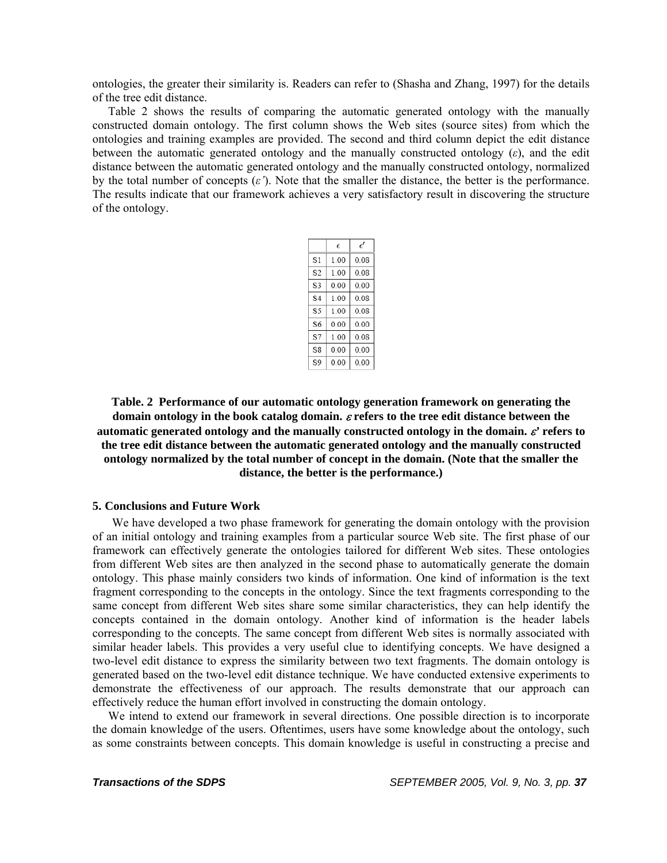ontologies, the greater their similarity is. Readers can refer to (Shasha and Zhang, 1997) for the details of the tree edit distance.

Table 2 shows the results of comparing the automatic generated ontology with the manually constructed domain ontology. The first column shows the Web sites (source sites) from which the ontologies and training examples are provided. The second and third column depict the edit distance between the automatic generated ontology and the manually constructed ontology  $(\varepsilon)$ , and the edit distance between the automatic generated ontology and the manually constructed ontology, normalized by the total number of concepts  $(\varepsilon')$ . Note that the smaller the distance, the better is the performance. The results indicate that our framework achieves a very satisfactory result in discovering the structure of the ontology.

|    | E    | $\epsilon'$ |
|----|------|-------------|
| S1 | 1.00 | 0.08        |
| S2 | 1.00 | 0.08        |
| S3 | 0.00 | 0.00        |
| S4 | 1.00 | 0.08        |
| S5 | 1.00 | 0.08        |
| S6 | 0.00 | 0.00        |
| S7 | 1.00 | 0.08        |
| S8 | 0.00 | 0.00        |
| S9 | 0.00 | 0.00        |
|    |      |             |

**Table. 2 Performance of our automatic ontology generation framework on generating the domain ontology in the book catalog domain.** ε **refers to the tree edit distance between the automatic generated ontology and the manually constructed ontology in the domain.** ε*'* **refers to the tree edit distance between the automatic generated ontology and the manually constructed ontology normalized by the total number of concept in the domain. (Note that the smaller the distance, the better is the performance.)** 

# **5. Conclusions and Future Work**

We have developed a two phase framework for generating the domain ontology with the provision of an initial ontology and training examples from a particular source Web site. The first phase of our framework can effectively generate the ontologies tailored for different Web sites. These ontologies from different Web sites are then analyzed in the second phase to automatically generate the domain ontology. This phase mainly considers two kinds of information. One kind of information is the text fragment corresponding to the concepts in the ontology. Since the text fragments corresponding to the same concept from different Web sites share some similar characteristics, they can help identify the concepts contained in the domain ontology. Another kind of information is the header labels corresponding to the concepts. The same concept from different Web sites is normally associated with similar header labels. This provides a very useful clue to identifying concepts. We have designed a two-level edit distance to express the similarity between two text fragments. The domain ontology is generated based on the two-level edit distance technique. We have conducted extensive experiments to demonstrate the effectiveness of our approach. The results demonstrate that our approach can effectively reduce the human effort involved in constructing the domain ontology.

We intend to extend our framework in several directions. One possible direction is to incorporate the domain knowledge of the users. Oftentimes, users have some knowledge about the ontology, such as some constraints between concepts. This domain knowledge is useful in constructing a precise and